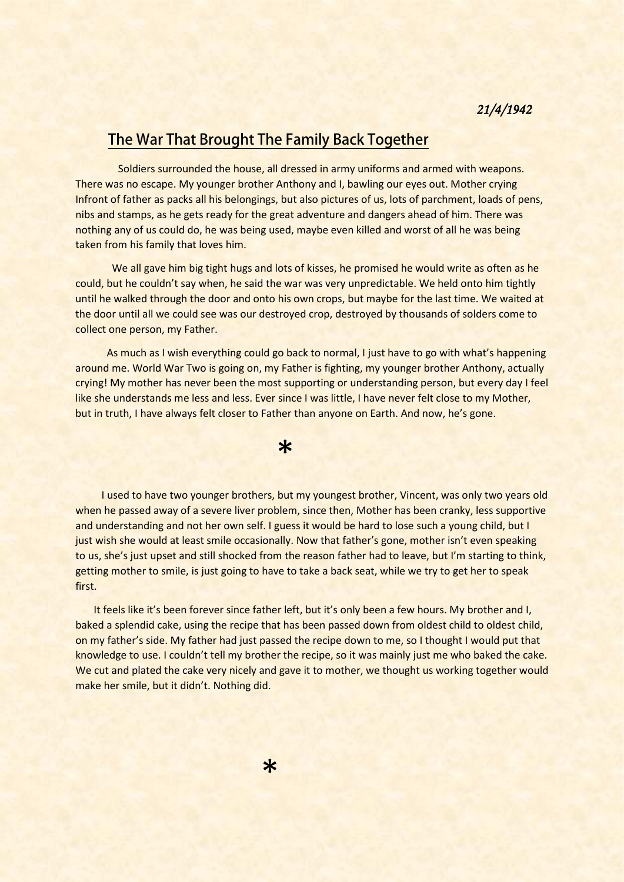## **The War That Brought The Family Back Together**

 Soldiers surrounded the house, all dressed in army uniforms and armed with weapons. There was no escape. My younger brother Anthony and I, bawling our eyes out. Mother crying Infront of father as packs all his belongings, but also pictures of us, lots of parchment, loads of pens, nibs and stamps, as he gets ready for the great adventure and dangers ahead of him. There was nothing any of us could do, he was being used, maybe even killed and worst of all he was being taken from his family that loves him.

 We all gave him big tight hugs and lots of kisses, he promised he would write as often as he could, but he couldn't say when, he said the war was very unpredictable. We held onto him tightly until he walked through the door and onto his own crops, but maybe for the last time. We waited at the door until all we could see was our destroyed crop, destroyed by thousands of solders come to collect one person, my Father.

 As much as I wish everything could go back to normal, I just have to go with what's happening around me. World War Two is going on, my Father is fighting, my younger brother Anthony, actually crying! My mother has never been the most supporting or understanding person, but every day I feel like she understands me less and less. Ever since I was little, I have never felt close to my Mother, but in truth, I have always felt closer to Father than anyone on Earth. And now, he's gone.

 \* I used to have two younger brothers, but my youngest brother, Vincent, was only two years old when he passed away of a severe liver problem, since then, Mother has been cranky, less supportive and understanding and not her own self. I guess it would be hard to lose such a young child, but I just wish she would at least smile occasionally. Now that father's gone, mother isn't even speaking to us, she's just upset and still shocked from the reason father had to leave, but I'm starting to think, getting mother to smile, is just going to have to take a back seat, while we try to get her to speak first.

It feels like it's been forever since father left, but it's only been a few hours. My brother and I, baked a splendid cake, using the recipe that has been passed down from oldest child to oldest child, on my father's side. My father had just passed the recipe down to me, so I thought I would put that knowledge to use. I couldn't tell my brother the recipe, so it was mainly just me who baked the cake. We cut and plated the cake very nicely and gave it to mother, we thought us working together would make her smile, but it didn't. Nothing did.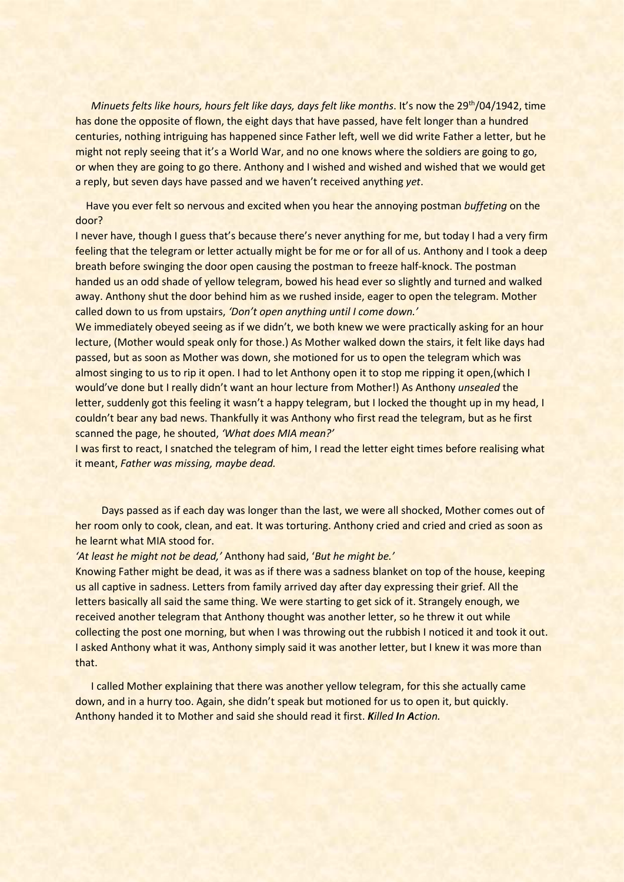*Minuets felts like hours, hours felt like days, days felt like months. It's now the 29<sup>th</sup>/04/1942, time* has done the opposite of flown, the eight days that have passed, have felt longer than a hundred centuries, nothing intriguing has happened since Father left, well we did write Father a letter, but he might not reply seeing that it's a World War, and no one knows where the soldiers are going to go, or when they are going to go there. Anthony and I wished and wished and wished that we would get a reply, but seven days have passed and we haven't received anything *yet*.

 Have you ever felt so nervous and excited when you hear the annoying postman *buffeting* on the door?

I never have, though I guess that's because there's never anything for me, but today I had a very firm feeling that the telegram or letter actually might be for me or for all of us. Anthony and I took a deep breath before swinging the door open causing the postman to freeze half-knock. The postman handed us an odd shade of yellow telegram, bowed his head ever so slightly and turned and walked away. Anthony shut the door behind him as we rushed inside, eager to open the telegram. Mother called down to us from upstairs, *'Don't open anything until I come down.'* 

We immediately obeyed seeing as if we didn't, we both knew we were practically asking for an hour lecture, (Mother would speak only for those.) As Mother walked down the stairs, it felt like days had passed, but as soon as Mother was down, she motioned for us to open the telegram which was almost singing to us to rip it open. I had to let Anthony open it to stop me ripping it open, (which I would've done but I really didn't want an hour lecture from Mother!) As Anthony *unsealed* the letter, suddenly got this feeling it wasn't a happy telegram, but I locked the thought up in my head, I couldn't bear any bad news. Thankfully it was Anthony who first read the telegram, but as he first scanned the page, he shouted, *'What does MIA mean?'*

I was first to react, I snatched the telegram of him, I read the letter eight times before realising what it meant, *Father was missing, maybe dead.*

 Days passed as if each day was longer than the last, we were all shocked, Mother comes out of her room only to cook, clean, and eat. It was torturing. Anthony cried and cried and cried as soon as he learnt what MIA stood for.

## *'At least he might not be dead,'* Anthony had said, '*But he might be.'*

Knowing Father might be dead, it was as if there was a sadness blanket on top of the house, keeping us all captive in sadness. Letters from family arrived day after day expressing their grief. All the letters basically all said the same thing. We were starting to get sick of it. Strangely enough, we received another telegram that Anthony thought was another letter, so he threw it out while collecting the post one morning, but when I was throwing out the rubbish I noticed it and took it out. I asked Anthony what it was, Anthony simply said it was another letter, but I knew it was more than that.

 I called Mother explaining that there was another yellow telegram, for this she actually came down, and in a hurry too. Again, she didn't speak but motioned for us to open it, but quickly. Anthony handed it to Mother and said she should read it first. *Killed In Action.*